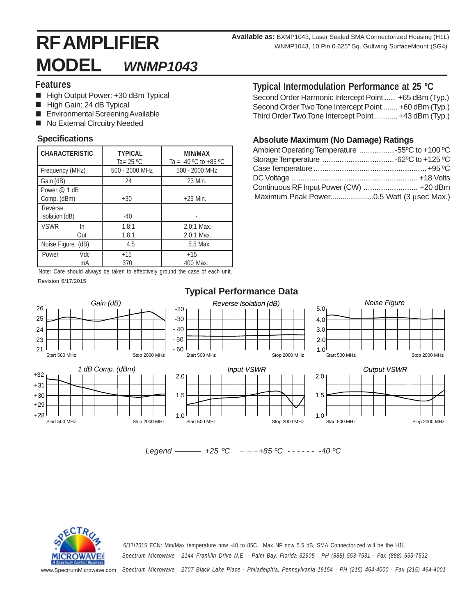# **RF AMPLIFIER MODEL** *WNMP1043*

**Available as:** BXMP1043, Laser Sealed SMA Connectorized Housing (H1L) WNMP1043, 10 Pin 0.625" Sq. Gullwing SurfaceMount (SG4)

### **Features**

- High Output Power: +30 dBm Typical
- High Gain: 24 dB Typical
- **Environmental Screening Available**
- No External Circuitry Needed

| <b>CHARACTERISTIC</b>       | <b>TYPICAL</b><br>Ta= $25 °C$ | MIN/MAX<br>Ta = -40 °C to +85 °C |  |  |  |  |
|-----------------------------|-------------------------------|----------------------------------|--|--|--|--|
| Frequency (MHz)             | 500 - 2000 MHz                | 500 - 2000 MHz                   |  |  |  |  |
| Gain (dB)                   | 24                            | 23 Min.                          |  |  |  |  |
| Power @ 1 dB<br>Comp. (dBm) | $+30$                         | $+29$ Min.                       |  |  |  |  |
| Reverse<br>Isolation (dB)   | $-40$                         |                                  |  |  |  |  |
| <b>VSWR</b><br>In.<br>Out   | 1.8:1<br>1.8:1                | $2.0:1$ Max.<br>$2.0:1$ Max.     |  |  |  |  |
| Noise Figure (dB)           | 4.5                           | 5.5 Max.                         |  |  |  |  |
| Vdc<br>Power<br>mA          | $+15$<br>370                  | $+15$<br>400 Max.                |  |  |  |  |

Note: Care should always be taken to effectively ground the case of each unit. Revision 6/17/2015

## **Typical Intermodulation Performance at 25 ºC**

Second Order Harmonic Intercept Point ..... +65 dBm (Typ.) Second Order Two Tone Intercept Point ....... +60 dBm (Typ.) Third Order Two Tone Intercept Point ........... +43 dBm (Typ.)

# **Specifications Absolute Maximum (No Damage) Ratings**

| Ambient Operating Temperature 55°C to +100 °C |  |
|-----------------------------------------------|--|
|                                               |  |
|                                               |  |
|                                               |  |
| Continuous RF Input Power (CW)  +20 dBm       |  |
|                                               |  |

|  |                   |  |  |                                                                                |  |  | アル・ビー・トロール |  |
|--|-------------------|--|--|--------------------------------------------------------------------------------|--|--|------------|--|
|  | evision 6/17/2015 |  |  |                                                                                |  |  |            |  |
|  |                   |  |  | loto. Odro briodiu diwayb bo takon to onootivory ground tho cabo or caen unit. |  |  |            |  |



 $Leqend$   $\longrightarrow$   $+25$  °C  $- - +85$ °C  $\longrightarrow$  -40 °C



*Spectrum Microwave · 2144 Franklin Drive N.E. · Palm Bay, Florida 32905 · PH (888) 553-7531 · Fax (888) 553-7532* 6/17/2015 ECN: Min/Max temperature now -40 to 85C. Max NF now 5.5 dB, SMA Connectorized will be the H1L.

www.SpectrumMicrowave.com *Spectrum Microwave · 2707 Black Lake Place · Philadelphia, Pennsylvania 19154 · PH (215) 464-4000 · Fax (215) 464-4001*